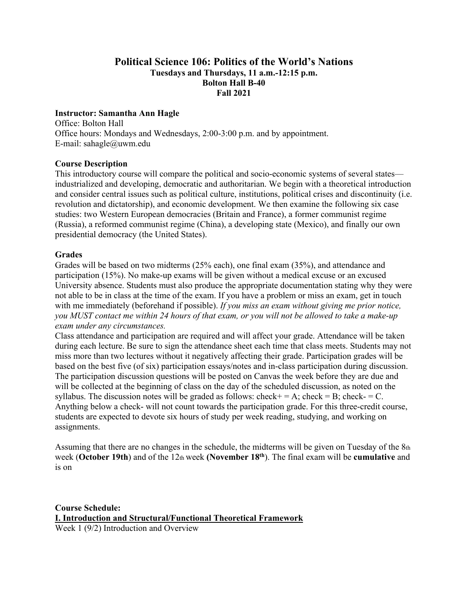### **Political Science 106: Politics of the World's Nations Tuesdays and Thursdays, 11 a.m.-12:15 p.m. Bolton Hall B-40 Fall 2021**

#### **Instructor: Samantha Ann Hagle**

Office: Bolton Hall Office hours: Mondays and Wednesdays, 2:00-3:00 p.m. and by appointment. E-mail: sahagle@uwm.edu

#### **Course Description**

This introductory course will compare the political and socio-economic systems of several states industrialized and developing, democratic and authoritarian. We begin with a theoretical introduction and consider central issues such as political culture, institutions, political crises and discontinuity (i.e. revolution and dictatorship), and economic development. We then examine the following six case studies: two Western European democracies (Britain and France), a former communist regime (Russia), a reformed communist regime (China), a developing state (Mexico), and finally our own presidential democracy (the United States).

#### **Grades**

Grades will be based on two midterms (25% each), one final exam (35%), and attendance and participation (15%). No make-up exams will be given without a medical excuse or an excused University absence. Students must also produce the appropriate documentation stating why they were not able to be in class at the time of the exam. If you have a problem or miss an exam, get in touch with me immediately (beforehand if possible). *If you miss an exam without giving me prior notice, you MUST contact me within 24 hours of that exam, or you will not be allowed to take a make-up exam under any circumstances.* 

Class attendance and participation are required and will affect your grade. Attendance will be taken during each lecture. Be sure to sign the attendance sheet each time that class meets. Students may not miss more than two lectures without it negatively affecting their grade. Participation grades will be based on the best five (of six) participation essays/notes and in-class participation during discussion. The participation discussion questions will be posted on Canvas the week before they are due and will be collected at the beginning of class on the day of the scheduled discussion, as noted on the syllabus. The discussion notes will be graded as follows: check + = A; check = B; check = C. Anything below a check- will not count towards the participation grade. For this three-credit course, students are expected to devote six hours of study per week reading, studying, and working on assignments.

Assuming that there are no changes in the schedule, the midterms will be given on Tuesday of the 8th week (**October 19th**) and of the 12th week **(November 18th**). The final exam will be **cumulative** and is on

**Course Schedule: I. Introduction and Structural/Functional Theoretical Framework**  Week 1 (9/2) Introduction and Overview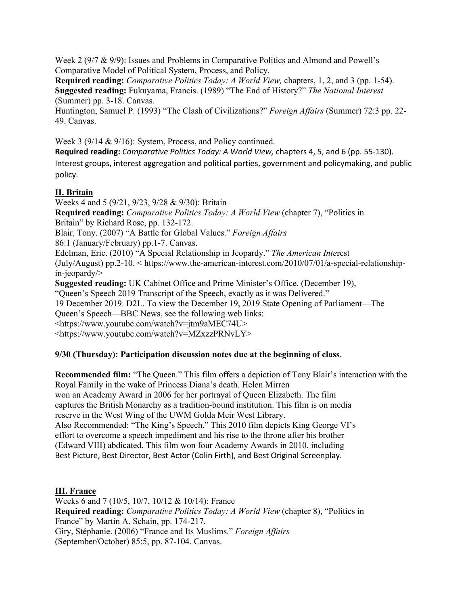Week 2 (9/7 & 9/9): Issues and Problems in Comparative Politics and Almond and Powell's Comparative Model of Political System, Process, and Policy.

**Required reading:** *Comparative Politics Today: A World View,* chapters, 1, 2, and 3 (pp. 1-54). **Suggested reading:** Fukuyama, Francis. (1989) "The End of History?" *The National Interest*  (Summer) pp. 3-18. Canvas.

Huntington, Samuel P. (1993) "The Clash of Civilizations?" *Foreign Affairs* (Summer) 72:3 pp. 22- 49. Canvas.

Week 3 (9/14 & 9/16): System, Process, and Policy continued.

**Required reading:** *Comparative Politics Today: A World View,* chapters 4, 5, and 6 (pp. 55‐130). Interest groups, interest aggregation and political parties, government and policymaking, and public policy.

# **II. Britain**

Weeks 4 and 5 (9/21, 9/23, 9/28 & 9/30): Britain **Required reading:** *Comparative Politics Today: A World View* (chapter 7), "Politics in Britain" by Richard Rose, pp. 132-172. Blair, Tony. (2007) "A Battle for Global Values." *Foreign Affairs*  86:1 (January/February) pp.1-7. Canvas. Edelman, Eric. (2010) "A Special Relationship in Jeopardy." *The American Inte*rest (July/August) pp.2-10. < https://www.the-american-interest.com/2010/07/01/a-special-relationshipin-jeopardy/> **Suggested reading:** UK Cabinet Office and Prime Minister's Office. (December 19), "Queen's Speech 2019 Transcript of the Speech, exactly as it was Delivered." 19 December 2019. D2L. To view the December 19, 2019 State Opening of Parliament—The Queen's Speech—BBC News, see the following web links: <https://www.youtube.com/watch?v=jtm9aMEC74U> <https://www.youtube.com/watch?v=MZxzzPRNvLY>

# **9/30 (Thursday): Participation discussion notes due at the beginning of class**.

**Recommended film:** "The Queen." This film offers a depiction of Tony Blair's interaction with the Royal Family in the wake of Princess Diana's death. Helen Mirren won an Academy Award in 2006 for her portrayal of Queen Elizabeth. The film captures the British Monarchy as a tradition-bound institution. This film is on media reserve in the West Wing of the UWM Golda Meir West Library. Also Recommended: "The King's Speech." This 2010 film depicts King George VI's effort to overcome a speech impediment and his rise to the throne after his brother (Edward VIII) abdicated. This film won four Academy Awards in 2010, including Best Picture, Best Director, Best Actor (Colin Firth), and Best Original Screenplay.

# **III. France**

Weeks 6 and 7 (10/5, 10/7, 10/12 & 10/14): France **Required reading:** *Comparative Politics Today: A World View* (chapter 8), "Politics in France" by Martin A. Schain, pp. 174-217. Giry, Stéphanie. (2006) "France and Its Muslims." *Foreign Affairs*  (September/October) 85:5, pp. 87-104. Canvas.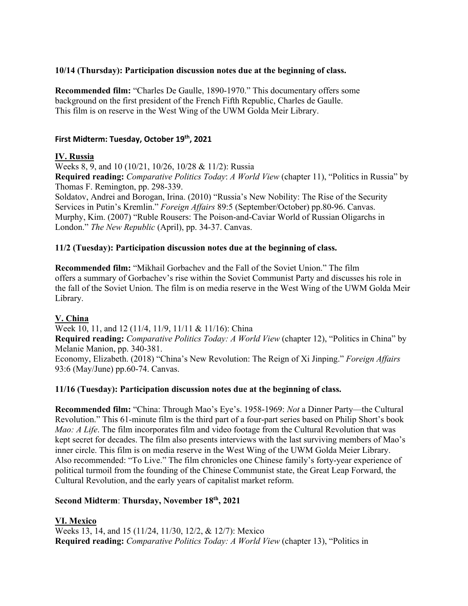### **10/14 (Thursday): Participation discussion notes due at the beginning of class.**

**Recommended film:** "Charles De Gaulle, 1890-1970." This documentary offers some background on the first president of the French Fifth Republic, Charles de Gaulle. This film is on reserve in the West Wing of the UWM Golda Meir Library.

#### **First Midterm: Tuesday, October 19th, 2021**

### **IV. Russia**

Weeks 8, 9, and 10 (10/21, 10/26, 10/28 & 11/2): Russia

**Required reading:** *Comparative Politics Today*: *A World View* (chapter 11), "Politics in Russia" by Thomas F. Remington, pp. 298-339.

Soldatov, Andrei and Borogan, Irina. (2010) "Russia's New Nobility: The Rise of the Security Services in Putin's Kremlin." *Foreign Affairs* 89:5 (September/October) pp.80-96. Canvas. Murphy, Kim. (2007) "Ruble Rousers: The Poison-and-Caviar World of Russian Oligarchs in London." *The New Republic* (April), pp. 34-37. Canvas.

### **11/2 (Tuesday): Participation discussion notes due at the beginning of class.**

**Recommended film:** "Mikhail Gorbachev and the Fall of the Soviet Union." The film offers a summary of Gorbachev's rise within the Soviet Communist Party and discusses his role in the fall of the Soviet Union. The film is on media reserve in the West Wing of the UWM Golda Meir Library.

### **V. China**

Week 10, 11, and 12 (11/4, 11/9, 11/11 & 11/16): China **Required reading:** *Comparative Politics Today: A World View* (chapter 12), "Politics in China" by Melanie Manion, pp. 340-381. Economy, Elizabeth. (2018) "China's New Revolution: The Reign of Xi Jinping." *Foreign Affairs*  93:6 (May/June) pp.60-74. Canvas.

### **11/16 (Tuesday): Participation discussion notes due at the beginning of class.**

**Recommended film:** "China: Through Mao's Eye's. 1958-1969: *Not* a Dinner Party—the Cultural Revolution." This 61-minute film is the third part of a four-part series based on Philip Short's book *Mao: A Life*. The film incorporates film and video footage from the Cultural Revolution that was kept secret for decades. The film also presents interviews with the last surviving members of Mao's inner circle. This film is on media reserve in the West Wing of the UWM Golda Meier Library. Also recommended: "To Live." The film chronicles one Chinese family's forty-year experience of political turmoil from the founding of the Chinese Communist state, the Great Leap Forward, the Cultural Revolution, and the early years of capitalist market reform.

#### **Second Midterm**: **Thursday, November 18th, 2021**

# **VI. Mexico**

Weeks 13, 14, and 15 (11/24, 11/30, 12/2, & 12/7): Mexico **Required reading:** *Comparative Politics Today: A World View* (chapter 13), "Politics in